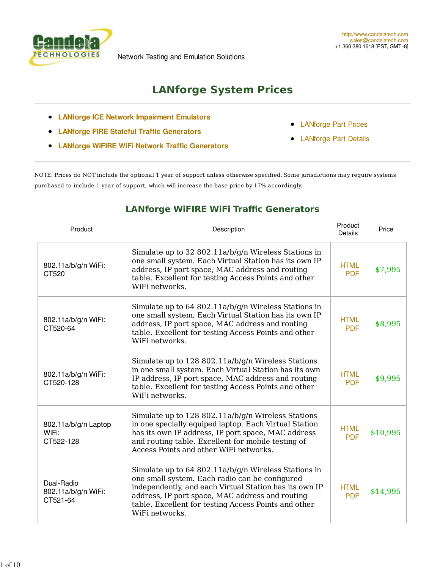

# **LANforge System Prices**

- **LANforge ICE Network Impairment Emulators**
- **LANforge FIRE Stateful Traffic Generators**
- **LANforge WiFIRE WiFi Network Traffic Generators**
- LANforge Part Prices  $\bullet$
- LANforge Part Details

NOTE: Prices do NOT include the optional 1 year of support unless otherwise specified. Some jurisdictions may require systems purchased to include 1 year of support, which will increase the base price by 17% accordingly.

#### **LANforge WiFIRE WiFi Traffic Generators**

| Product                                       | Description                                                                                                                                                                                                                                                                                   | Product<br><b>Details</b> | Price    |
|-----------------------------------------------|-----------------------------------------------------------------------------------------------------------------------------------------------------------------------------------------------------------------------------------------------------------------------------------------------|---------------------------|----------|
| 802.11a/b/g/n WiFi:<br>CT520                  | Simulate up to 32 802.11a/b/g/n Wireless Stations in<br>one small system. Each Virtual Station has its own IP<br>address, IP port space, MAC address and routing<br>table. Excellent for testing Access Points and other<br>WiFi networks.                                                    | <b>HTML</b><br><b>PDF</b> | \$7,995  |
| 802.11a/b/g/n WiFi:<br>CT520-64               | Simulate up to 64 802.11a/b/g/n Wireless Stations in<br>one small system. Each Virtual Station has its own IP<br>address, IP port space, MAC address and routing<br>table. Excellent for testing Access Points and other<br>WiFi networks.                                                    | <b>HTML</b><br><b>PDF</b> | \$8,995  |
| 802.11a/b/g/n WiFi:<br>CT520-128              | Simulate up to 128 802.11a/b/g/n Wireless Stations<br>in one small system. Each Virtual Station has its own<br>IP address, IP port space, MAC address and routing<br>table. Excellent for testing Access Points and other<br>WiFi networks.                                                   | <b>HTML</b><br><b>PDF</b> | \$9,995  |
| 802.11a/b/g/n Laptop<br>WiFi:<br>CT522-128    | Simulate up to 128 802.11a/b/g/n Wireless Stations<br>in one specially equiped laptop. Each Virtual Station<br>has its own IP address, IP port space, MAC address<br>and routing table. Excellent for mobile testing of<br>Access Points and other WiFi networks.                             | <b>HTML</b><br><b>PDF</b> | \$10,995 |
| Dual-Radio<br>802.11a/b/g/n WiFi:<br>CT521-64 | Simulate up to 64 802.11a/b/g/n Wireless Stations in<br>one small system. Each radio can be configured<br>independently, and each Virtual Station has its own IP<br>address, IP port space, MAC address and routing<br>table. Excellent for testing Access Points and other<br>WiFi networks. | <b>HTML</b><br><b>PDF</b> | \$14,995 |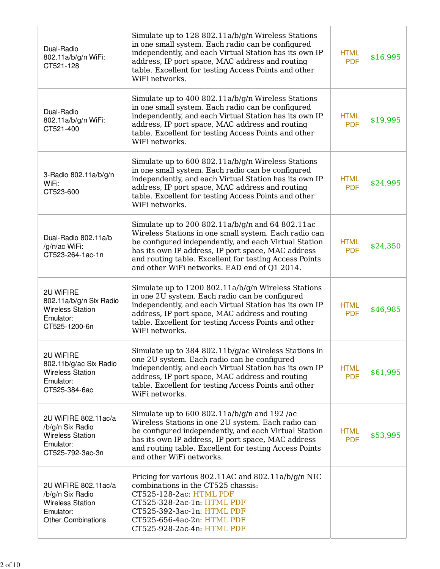| Dual-Radio<br>802.11a/b/g/n WiFi:<br>CT521-128                                                                | Simulate up to 128 802.11a/b/g/n Wireless Stations<br>in one small system. Each radio can be configured<br>independently, and each Virtual Station has its own IP<br>address, IP port space, MAC address and routing<br>table. Excellent for testing Access Points and other<br>WiFi networks.                                     | <b>HTML</b><br><b>PDF</b> | \$16,995 |
|---------------------------------------------------------------------------------------------------------------|------------------------------------------------------------------------------------------------------------------------------------------------------------------------------------------------------------------------------------------------------------------------------------------------------------------------------------|---------------------------|----------|
| Dual-Radio<br>802.11a/b/g/n WiFi:<br>CT521-400                                                                | Simulate up to 400 802.11a/b/g/n Wireless Stations<br>in one small system. Each radio can be configured<br>independently, and each Virtual Station has its own IP<br>address, IP port space, MAC address and routing<br>table. Excellent for testing Access Points and other<br>WiFi networks.                                     | <b>HTML</b><br><b>PDF</b> | \$19,995 |
| 3-Radio 802.11a/b/g/n<br>WiFi:<br>CT523-600                                                                   | Simulate up to 600 802.11a/b/g/n Wireless Stations<br>in one small system. Each radio can be configured<br>independently, and each Virtual Station has its own IP<br>address, IP port space, MAC address and routing<br>table. Excellent for testing Access Points and other<br>WiFi networks.                                     | <b>HTML</b><br><b>PDF</b> | \$24,995 |
| Dual-Radio 802.11a/b<br>/g/n/ac WiFi:<br>CT523-264-1ac-1n                                                     | Simulate up to 200 802.11a/b/g/n and 64 802.11ac<br>Wireless Stations in one small system. Each radio can<br>be configured independently, and each Virtual Station<br>has its own IP address, IP port space, MAC address<br>and routing table. Excellent for testing Access Points<br>and other WiFi networks. EAD end of Q1 2014. | <b>HTML</b><br><b>PDF</b> | \$24,350 |
| 2U WiFIRE<br>802.11a/b/g/n Six Radio<br><b>Wireless Station</b><br>Emulator:<br>CT525-1200-6n                 | Simulate up to 1200 802.11a/b/g/n Wireless Stations<br>in one 2U system. Each radio can be configured<br>independently, and each Virtual Station has its own IP<br>address, IP port space, MAC address and routing<br>table. Excellent for testing Access Points and other<br>WiFi networks.                                       | <b>HTML</b><br><b>PDF</b> | \$46,985 |
| 2U WiFIRE<br>802.11b/g/ac Six Radio<br><b>Wireless Station</b><br>Emulator:<br>CT525-384-6ac                  | Simulate up to 384 802.11b/g/ac Wireless Stations in<br>one 2U system. Each radio can be configured<br>independently, and each Virtual Station has its own IP<br>address, IP port space, MAC address and routing<br>table. Excellent for testing Access Points and other<br>WiFi networks.                                         | <b>HTML</b><br><b>PDF</b> | \$61,995 |
| 2U WiFIRE 802.11ac/a<br>/b/g/n Six Radio<br><b>Wireless Station</b><br>Emulator:<br>CT525-792-3ac-3n          | Simulate up to $600 802.11a/b/g/n$ and $192/ac$<br>Wireless Stations in one 2U system. Each radio can<br>be configured independently, and each Virtual Station<br>has its own IP address, IP port space, MAC address<br>and routing table. Excellent for testing Access Points<br>and other WiFi networks.                         | <b>HTML</b><br><b>PDF</b> | \$53,995 |
| 2U WiFIRE 802.11ac/a<br>/b/g/n Six Radio<br><b>Wireless Station</b><br>Emulator:<br><b>Other Combinations</b> | Pricing for various 802.11AC and 802.11a/b/g/n NIC<br>combinations in the CT525 chassis:<br>CT525-128-2ac: HTML PDF<br>CT525-328-2ac-1n: HTML PDF<br>CT525-392-3ac-1n: HTML PDF<br>CT525-656-4ac-2n: HTML PDF<br>CT525-928-2ac-4n: HTML PDF                                                                                        |                           |          |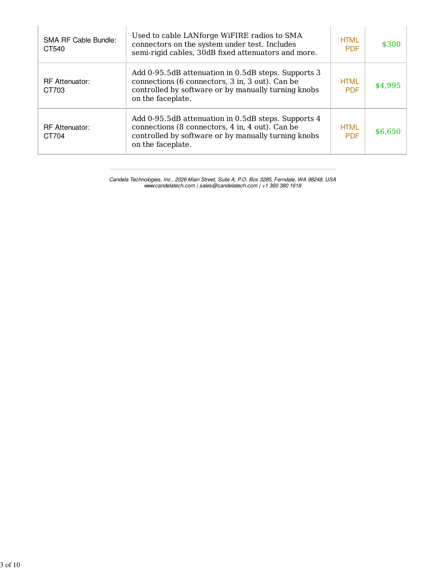| <b>SMA RF Cable Bundle:</b><br>CT540 | Used to cable LANforge WiFIRE radios to SMA<br>connectors on the system under test. Includes<br>semi-rigid cables, 30dB fixed attenuators and more.                                | <b>HTML</b><br><b>PDF</b> | \$300   |
|--------------------------------------|------------------------------------------------------------------------------------------------------------------------------------------------------------------------------------|---------------------------|---------|
| <b>RF</b> Attenuator:<br>CT703       | Add 0-95.5dB attenuation in 0.5dB steps. Supports 3<br>connections (6 connectors, 3 in, 3 out). Can be<br>controlled by software or by manually turning knobs<br>on the faceplate. | <b>HTML</b><br><b>PDF</b> | \$4,995 |
| <b>RF</b> Attenuator:<br>CT704       | Add 0-95.5dB attenuation in 0.5dB steps. Supports 4<br>connections (8 connectors, 4 in, 4 out). Can be<br>controlled by software or by manually turning knobs<br>on the faceplate. | <b>HTML</b><br><b>PDF</b> | \$6,650 |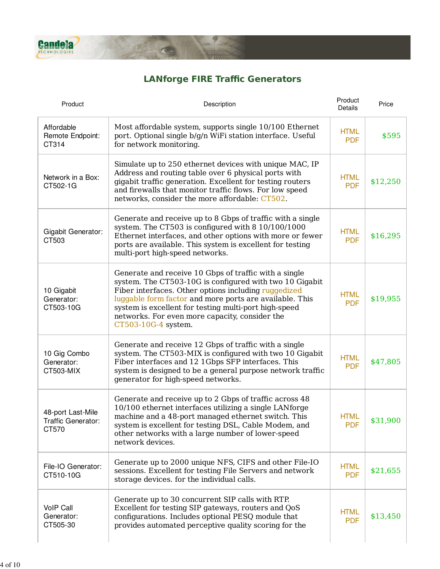

## **LANforge FIRE Traffic Generators**

A.

| Product                                          | Description                                                                                                                                                                                                                                                                                                                                                           | Product<br>Details        | Price    |
|--------------------------------------------------|-----------------------------------------------------------------------------------------------------------------------------------------------------------------------------------------------------------------------------------------------------------------------------------------------------------------------------------------------------------------------|---------------------------|----------|
| Affordable<br>Remote Endpoint:<br>CT314          | Most affordable system, supports single 10/100 Ethernet<br>port. Optional single b/g/n WiFi station interface. Useful<br>for network monitoring.                                                                                                                                                                                                                      | <b>HTML</b><br><b>PDF</b> | \$595    |
| Network in a Box:<br>CT502-1G                    | Simulate up to 250 ethernet devices with unique MAC, IP<br>Address and routing table over 6 physical ports with<br>gigabit traffic generation. Excellent for testing routers<br>and firewalls that monitor traffic flows. For low speed<br>networks, consider the more affordable: CT502.                                                                             | <b>HTML</b><br><b>PDF</b> | \$12,250 |
| Gigabit Generator:<br>CT503                      | Generate and receive up to 8 Gbps of traffic with a single<br>system. The CT503 is configured with 8 10/100/1000<br>Ethernet interfaces, and other options with more or fewer<br>ports are available. This system is excellent for testing<br>multi-port high-speed networks.                                                                                         | <b>HTML</b><br><b>PDF</b> | \$16,295 |
| 10 Gigabit<br>Generator:<br>CT503-10G            | Generate and receive 10 Gbps of traffic with a single<br>system. The CT503-10G is configured with two 10 Gigabit<br>Fiber interfaces. Other options including ruggedized<br>luggable form factor and more ports are available. This<br>system is excellent for testing multi-port high-speed<br>networks. For even more capacity, consider the<br>CT503-10G-4 system. | <b>HTML</b><br><b>PDF</b> | \$19,955 |
| 10 Gig Combo<br>Generator:<br>CT503-MIX          | Generate and receive 12 Gbps of traffic with a single<br>system. The CT503-MIX is configured with two 10 Gigabit<br>Fiber interfaces and 12 1Gbps SFP interfaces. This<br>system is designed to be a general purpose network traffic<br>generator for high-speed networks.                                                                                            | <b>HTML</b><br><b>PDF</b> | \$47,805 |
| 48-port Last-Mile<br>Traffic Generator:<br>CT570 | Generate and receive up to 2 Gbps of traffic across 48<br>10/100 ethernet interfaces utilizing a single LANforge<br>machine and a 48-port managed ethernet switch. This<br>system is excellent for testing DSL, Cable Modem, and<br>other networks with a large number of lower-speed<br>network devices.                                                             | <b>HTML</b><br><b>PDF</b> | \$31,900 |
| File-IO Generator:<br>CT510-10G                  | Generate up to 2000 unique NFS, CIFS and other File-IO<br>sessions. Excellent for testing File Servers and network<br>storage devices. for the individual calls.                                                                                                                                                                                                      | <b>HTML</b><br><b>PDF</b> | \$21,655 |
| <b>VoIP Call</b><br>Generator:<br>CT505-30       | Generate up to 30 concurrent SIP calls with RTP.<br>Excellent for testing SIP gateways, routers and QoS<br>configurations. Includes optional PESQ module that<br>provides automated perceptive quality scoring for the                                                                                                                                                | <b>HTML</b><br><b>PDF</b> | \$13,450 |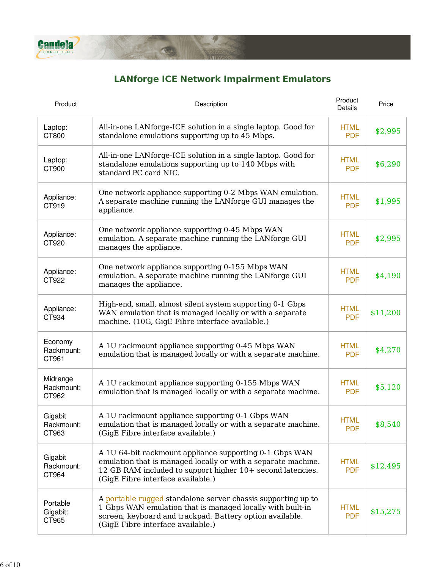

## **LANforge ICE Network Impairment Emulators**

| Product                         | Description                                                                                                                                                                                                                 | Product<br>Details        | Price    |
|---------------------------------|-----------------------------------------------------------------------------------------------------------------------------------------------------------------------------------------------------------------------------|---------------------------|----------|
| Laptop:<br>CT800                | All-in-one LANforge-ICE solution in a single laptop. Good for<br>standalone emulations supporting up to 45 Mbps.                                                                                                            | <b>HTML</b><br><b>PDF</b> | \$2,995  |
| Laptop:<br>CT900                | All-in-one LANforge-ICE solution in a single laptop. Good for<br>standalone emulations supporting up to 140 Mbps with<br>standard PC card NIC.                                                                              | <b>HTML</b><br><b>PDF</b> | \$6,290  |
| Appliance:<br>CT919             | One network appliance supporting 0-2 Mbps WAN emulation.<br>A separate machine running the LANforge GUI manages the<br>appliance.                                                                                           | <b>HTML</b><br><b>PDF</b> | \$1,995  |
| Appliance:<br>CT920             | One network appliance supporting 0-45 Mbps WAN<br>emulation. A separate machine running the LANforge GUI<br>manages the appliance.                                                                                          | <b>HTML</b><br><b>PDF</b> | \$2,995  |
| Appliance:<br>CT922             | One network appliance supporting 0-155 Mbps WAN<br>emulation. A separate machine running the LANforge GUI<br>manages the appliance.                                                                                         | <b>HTML</b><br><b>PDF</b> | \$4,190  |
| Appliance:<br>CT934             | High-end, small, almost silent system supporting 0-1 Gbps<br>WAN emulation that is managed locally or with a separate<br>machine. (10G, GigE Fibre interface available.)                                                    | <b>HTML</b><br><b>PDF</b> | \$11,200 |
| Economy<br>Rackmount:<br>CT961  | A 1U rackmount appliance supporting 0-45 Mbps WAN<br>emulation that is managed locally or with a separate machine.                                                                                                          | <b>HTML</b><br><b>PDF</b> | \$4,270  |
| Midrange<br>Rackmount:<br>CT962 | A 1U rackmount appliance supporting 0-155 Mbps WAN<br>emulation that is managed locally or with a separate machine.                                                                                                         | <b>HTML</b><br><b>PDF</b> | \$5,120  |
| Gigabit<br>Rackmount:<br>CT963  | A 1U rackmount appliance supporting 0-1 Gbps WAN<br>emulation that is managed locally or with a separate machine.<br>(GigE Fibre interface available.)                                                                      | <b>HTML</b><br><b>PDF</b> | \$8,540  |
| Gigabit<br>Rackmount:<br>CT964  | A 1U 64-bit rackmount appliance supporting 0-1 Gbps WAN<br>emulation that is managed locally or with a separate machine.<br>12 GB RAM included to support higher 10+ second latencies.<br>(GigE Fibre interface available.) | <b>HTML</b><br><b>PDF</b> | \$12,495 |
| Portable<br>Gigabit:<br>CT965   | A portable rugged standalone server chassis supporting up to<br>1 Gbps WAN emulation that is managed locally with built-in<br>screen, keyboard and trackpad. Battery option available.<br>(GigE Fibre interface available.) | <b>HTML</b><br><b>PDF</b> | \$15,275 |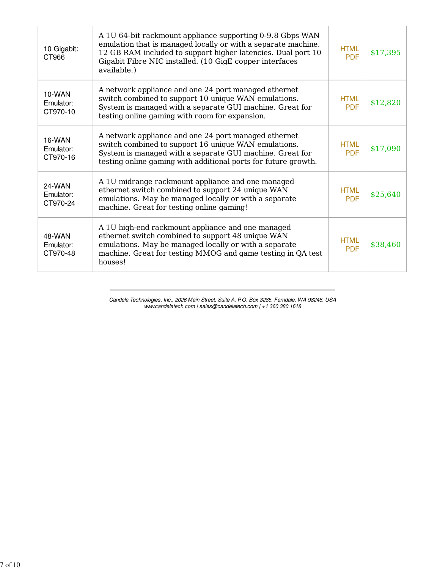| 10 Gigabit:<br>CT966            | A 1U 64-bit rackmount appliance supporting 0-9.8 Gbps WAN<br>emulation that is managed locally or with a separate machine.<br>12 GB RAM included to support higher latencies. Dual port 10<br>Gigabit Fibre NIC installed. (10 GigE copper interfaces<br>available.) | <b>HTML</b><br><b>PDF</b> | \$17,395 |
|---------------------------------|----------------------------------------------------------------------------------------------------------------------------------------------------------------------------------------------------------------------------------------------------------------------|---------------------------|----------|
| 10-WAN<br>Emulator:<br>CT970-10 | A network appliance and one 24 port managed ethernet<br>switch combined to support 10 unique WAN emulations.<br>System is managed with a separate GUI machine. Great for<br>testing online gaming with room for expansion.                                           | <b>HTML</b><br><b>PDF</b> | \$12,820 |
| 16-WAN<br>Emulator:<br>CT970-16 | A network appliance and one 24 port managed ethernet<br>switch combined to support 16 unique WAN emulations.<br>System is managed with a separate GUI machine. Great for<br>testing online gaming with additional ports for future growth.                           | <b>HTML</b><br><b>PDF</b> | \$17,090 |
| 24-WAN<br>Emulator:<br>CT970-24 | A 1U midrange rackmount appliance and one managed<br>ethernet switch combined to support 24 unique WAN<br>emulations. May be managed locally or with a separate<br>machine. Great for testing online gaming!                                                         | <b>HTML</b><br><b>PDF</b> | \$25,640 |
| 48-WAN<br>Emulator:<br>CT970-48 | A 1U high-end rackmount appliance and one managed<br>ethernet switch combined to support 48 unique WAN<br>emulations. May be managed locally or with a separate<br>machine. Great for testing MMOG and game testing in QA test<br>houses!                            | <b>HTML</b><br><b>PDF</b> | \$38,460 |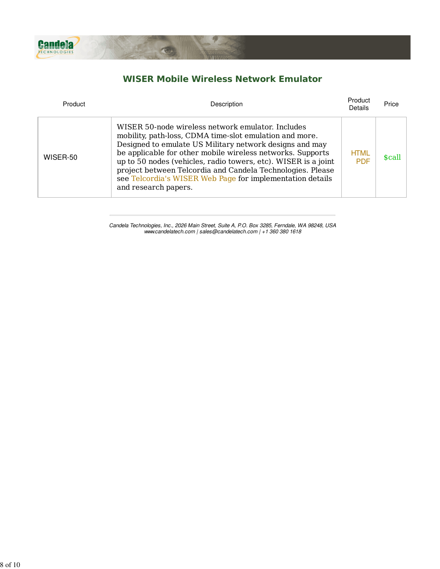

### **WISER Mobile Wireless Network Emulator**

| Product  | Description                                                                                                                                                                                                                                                                                                                                                                                                                                                | Product<br>Details        | Price  |
|----------|------------------------------------------------------------------------------------------------------------------------------------------------------------------------------------------------------------------------------------------------------------------------------------------------------------------------------------------------------------------------------------------------------------------------------------------------------------|---------------------------|--------|
| WISER-50 | WISER 50-node wireless network emulator. Includes<br>mobility, path-loss, CDMA time-slot emulation and more.<br>Designed to emulate US Military network designs and may<br>be applicable for other mobile wireless networks. Supports<br>up to 50 nodes (vehicles, radio towers, etc). WISER is a joint<br>project between Telcordia and Candela Technologies. Please<br>see Telcordia's WISER Web Page for implementation details<br>and research papers. | <b>HTML</b><br><b>PDF</b> | \$call |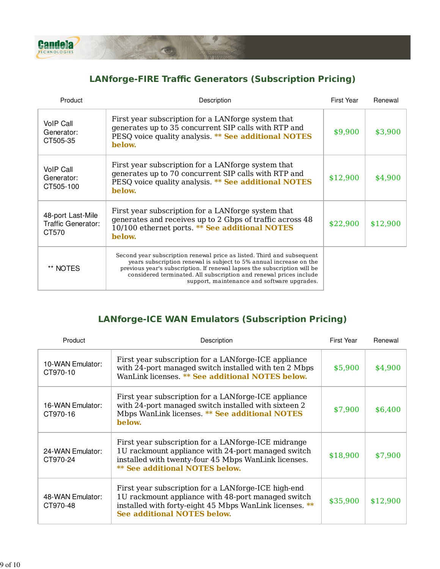

### **LANforge-FIRE Traffic Generators (Subscription Pricing)**

 $\circ$ 

| Product                                          | Description                                                                                                                                                                                                                                                                                                                                   | <b>First Year</b> | Renewal  |
|--------------------------------------------------|-----------------------------------------------------------------------------------------------------------------------------------------------------------------------------------------------------------------------------------------------------------------------------------------------------------------------------------------------|-------------------|----------|
| VoIP Call<br>Generator:<br>CT505-35              | First year subscription for a LAN forge system that<br>generates up to 35 concurrent SIP calls with RTP and<br>PESQ voice quality analysis. ** See additional NOTES<br>below.                                                                                                                                                                 | \$9,900           | \$3,900  |
| <b>VoIP Call</b><br>Generator:<br>CT505-100      | First year subscription for a LANforge system that<br>generates up to 70 concurrent SIP calls with RTP and<br>PESQ voice quality analysis. ** See additional NOTES<br>below.                                                                                                                                                                  | \$12,900          | \$4,900  |
| 48-port Last-Mile<br>Traffic Generator:<br>CT570 | First year subscription for a LAN forge system that<br>generates and receives up to 2 Gbps of traffic across 48<br>10/100 ethernet ports. ** See additional NOTES<br>below.                                                                                                                                                                   | \$22,900          | \$12,900 |
| ** NOTES                                         | Second year subscription renewal price as listed. Third and subsequent<br>years subscription renewal is subject to 5% annual increase on the<br>previous year's subscription. If renewal lapses the subscription will be<br>considered terminated. All subscription and renewal prices include<br>support, maintenance and software upgrades. |                   |          |

#### **LANforge-ICE WAN Emulators (Subscription Pricing)**

| Product                      | Description                                                                                                                                                                                                 | First Year | Renewal  |
|------------------------------|-------------------------------------------------------------------------------------------------------------------------------------------------------------------------------------------------------------|------------|----------|
| 10-WAN Emulator:<br>CT970-10 | First year subscription for a LAN forge-ICE appliance<br>with 24-port managed switch installed with ten 2 Mbps<br>WanLink licenses. ** See additional NOTES below.                                          | \$5,900    | \$4,900  |
| 16-WAN Emulator:<br>CT970-16 | First year subscription for a LAN forge-ICE appliance<br>with 24-port managed switch installed with sixteen 2<br>Mbps WanLink licenses. ** See additional NOTES<br>below.                                   | \$7,900    | \$6,400  |
| 24-WAN Emulator:<br>CT970-24 | First year subscription for a LAN forge-ICE midrange<br>1U rackmount appliance with 24-port managed switch<br>installed with twenty-four 45 Mbps WanLink licenses.<br><b>** See additional NOTES below.</b> | \$18,900   | \$7,900  |
| 48-WAN Emulator:<br>CT970-48 | First year subscription for a LANforge-ICE high-end<br>1U rackmount appliance with 48-port managed switch<br>installed with forty-eight 45 Mbps WanLink licenses. **<br><b>See additional NOTES below.</b>  | \$35,900   | \$12,900 |